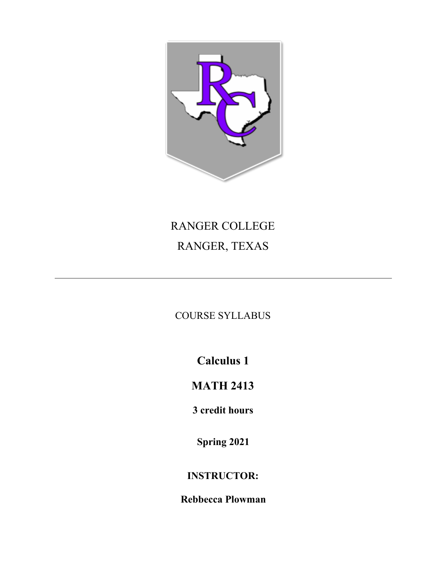

# RANGER COLLEGE RANGER, TEXAS

COURSE SYLLABUS

**Calculus 1**

# **MATH 2413**

**3 credit hours**

**Spring 2021**

# **INSTRUCTOR:**

**Rebbecca Plowman**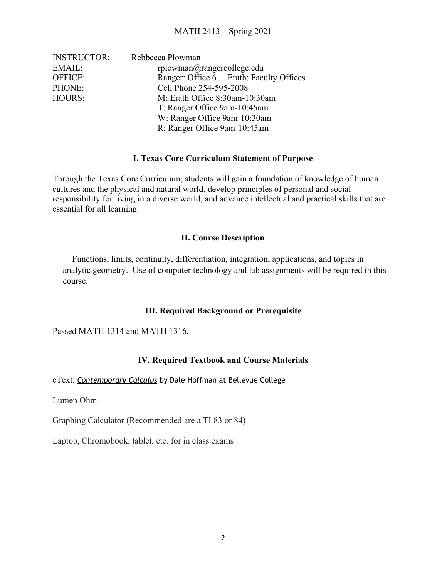| <b>INSTRUCTOR:</b> | Rebbecca Plowman                        |
|--------------------|-----------------------------------------|
| EMAIL:             | $r$ plowman $@r$ angercollege.edu       |
| OFFICE:            | Ranger: Office 6 Erath: Faculty Offices |
| PHONE:             | Cell Phone 254-595-2008                 |
| HOURS:             | M: Erath Office 8:30am-10:30am          |
|                    | T: Ranger Office 9am-10:45am            |
|                    | W: Ranger Office 9am-10:30am            |
|                    | R: Ranger Office 9am-10:45am            |

#### **I. Texas Core Curriculum Statement of Purpose**

Through the Texas Core Curriculum, students will gain a foundation of knowledge of human cultures and the physical and natural world, develop principles of personal and social responsibility for living in a diverse world, and advance intellectual and practical skills that are essential for all learning.

#### **II. Course Description**

 Functions, limits, continuity, differentiation, integration, applications, and topics in analytic geometry. Use of computer technology and lab assignments will be required in this course.

#### **III. Required Background or Prerequisite**

Passed MATH 1314 and MATH 1316.

## **IV. Required Textbook and Course Materials**

eText: *[Contemporary Calculus](http://scidiv.bellevuecollege.edu/dh/Calculus_all/Calculus_all.html)* by Dale Hoffman at Bellevue College

Lumen Ohm

Graphing Calculator (Recommended are a TI 83 or 84)

Laptop, Chromobook, tablet, etc. for in class exams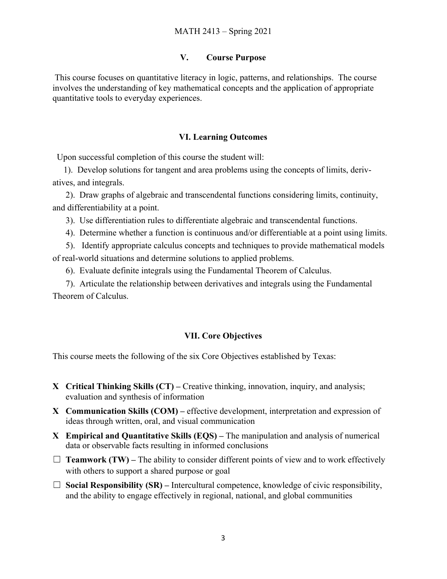#### **V. Course Purpose**

This course focuses on quantitative literacy in logic, patterns, and relationships. The course involves the understanding of key mathematical concepts and the application of appropriate quantitative tools to everyday experiences.

#### **VI. Learning Outcomes**

Upon successful completion of this course the student will:

 1). Develop solutions for tangent and area problems using the concepts of limits, derivatives, and integrals.

 2). Draw graphs of algebraic and transcendental functions considering limits, continuity, and differentiability at a point.

3). Use differentiation rules to differentiate algebraic and transcendental functions.

4). Determine whether a function is continuous and/or differentiable at a point using limits.

 5). Identify appropriate calculus concepts and techniques to provide mathematical models of real-world situations and determine solutions to applied problems.

6). Evaluate definite integrals using the Fundamental Theorem of Calculus.

 7). Articulate the relationship between derivatives and integrals using the Fundamental Theorem of Calculus.

#### **VII. Core Objectives**

This course meets the following of the six Core Objectives established by Texas:

- **X Critical Thinking Skills (CT)** Creative thinking, innovation, inquiry, and analysis; evaluation and synthesis of information
- **X Communication Skills (COM)** effective development, interpretation and expression of ideas through written, oral, and visual communication
- **X Empirical and Quantitative Skills (EQS)** The manipulation and analysis of numerical data or observable facts resulting in informed conclusions
- $\Box$  **Teamwork (TW)** The ability to consider different points of view and to work effectively with others to support a shared purpose or goal
- $\Box$  **Social Responsibility (SR)** Intercultural competence, knowledge of civic responsibility, and the ability to engage effectively in regional, national, and global communities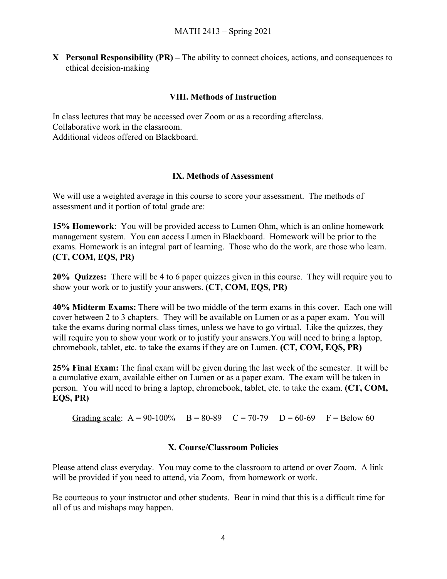**X Personal Responsibility (PR) –** The ability to connect choices, actions, and consequences to ethical decision-making

### **VIII. Methods of Instruction**

In class lectures that may be accessed over Zoom or as a recording afterclass. Collaborative work in the classroom. Additional videos offered on Blackboard.

### **IX. Methods of Assessment**

We will use a weighted average in this course to score your assessment. The methods of assessment and it portion of total grade are:

**15% Homework**: You will be provided access to Lumen Ohm, which is an online homework management system. You can access Lumen in Blackboard. Homework will be prior to the exams. Homework is an integral part of learning. Those who do the work, are those who learn. **(CT, COM, EQS, PR)**

**20% Quizzes:** There will be 4 to 6 paper quizzes given in this course. They will require you to show your work or to justify your answers. **(CT, COM, EQS, PR)**

**40% Midterm Exams:** There will be two middle of the term exams in this cover. Each one will cover between 2 to 3 chapters. They will be available on Lumen or as a paper exam. You will take the exams during normal class times, unless we have to go virtual. Like the quizzes, they will require you to show your work or to justify your answers. You will need to bring a laptop, chromebook, tablet, etc. to take the exams if they are on Lumen. **(CT, COM, EQS, PR)**

**25% Final Exam:** The final exam will be given during the last week of the semester. It will be a cumulative exam, available either on Lumen or as a paper exam. The exam will be taken in person. You will need to bring a laptop, chromebook, tablet, etc. to take the exam. **(CT, COM, EQS, PR)**

Grading scale:  $A = 90-100\%$   $B = 80-89$   $C = 70-79$   $D = 60-69$   $F = Below 60$ 

#### **X. Course/Classroom Policies**

Please attend class everyday. You may come to the classroom to attend or over Zoom. A link will be provided if you need to attend, via Zoom, from homework or work.

Be courteous to your instructor and other students. Bear in mind that this is a difficult time for all of us and mishaps may happen.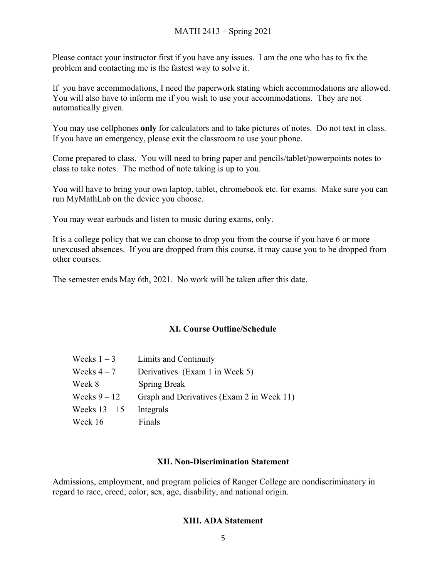Please contact your instructor first if you have any issues. I am the one who has to fix the problem and contacting me is the fastest way to solve it.

If you have accommodations, I need the paperwork stating which accommodations are allowed. You will also have to inform me if you wish to use your accommodations. They are not automatically given.

You may use cellphones **only** for calculators and to take pictures of notes. Do not text in class. If you have an emergency, please exit the classroom to use your phone.

Come prepared to class. You will need to bring paper and pencils/tablet/powerpoints notes to class to take notes. The method of note taking is up to you.

You will have to bring your own laptop, tablet, chromebook etc. for exams. Make sure you can run MyMathLab on the device you choose.

You may wear earbuds and listen to music during exams, only.

It is a college policy that we can choose to drop you from the course if you have 6 or more unexcused absences. If you are dropped from this course, it may cause you to be dropped from other courses.

The semester ends May 6th, 2021. No work will be taken after this date.

#### **XI. Course Outline/Schedule**

| Weeks $1-3$     | Limits and Continuity                     |
|-----------------|-------------------------------------------|
| Weeks $4-7$     | Derivatives (Exam 1 in Week 5)            |
| Week 8          | <b>Spring Break</b>                       |
| Weeks $9 - 12$  | Graph and Derivatives (Exam 2 in Week 11) |
| Weeks $13 - 15$ | Integrals                                 |
| Week 16         | Finals                                    |

#### **XII. Non-Discrimination Statement**

Admissions, employment, and program policies of Ranger College are nondiscriminatory in regard to race, creed, color, sex, age, disability, and national origin.

#### **XIII. ADA Statement**